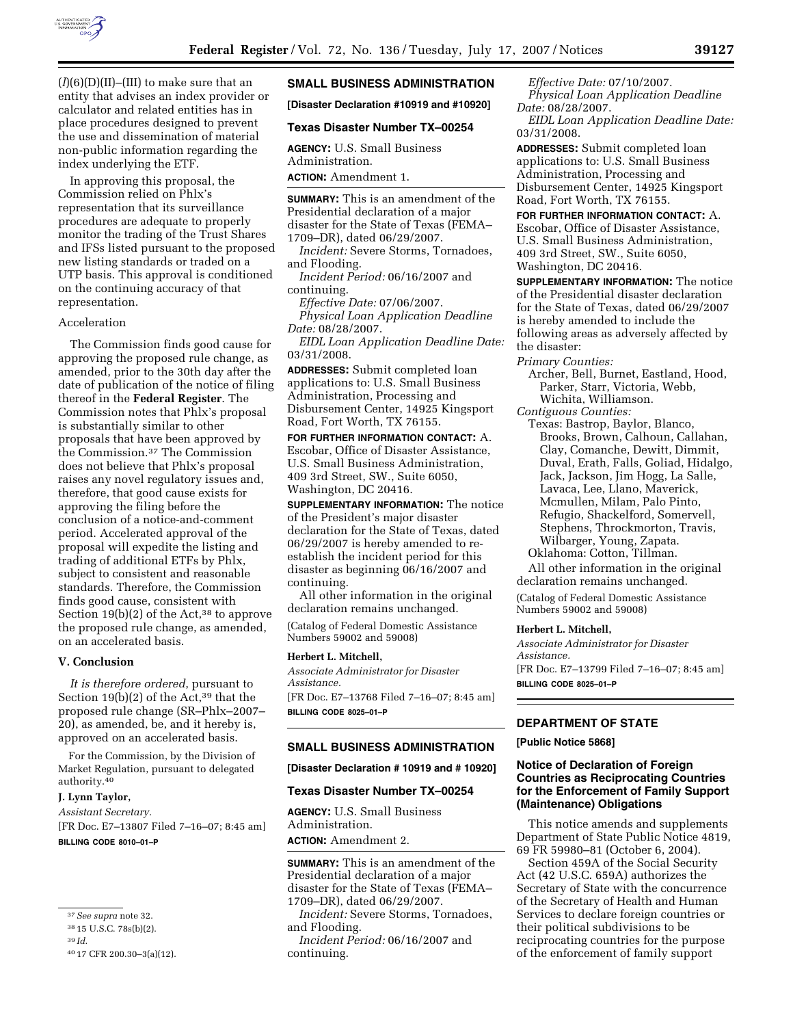

 $(l)(6)(D)(II)$ –(III) to make sure that an entity that advises an index provider or calculator and related entities has in place procedures designed to prevent the use and dissemination of material non-public information regarding the index underlying the ETF.

In approving this proposal, the Commission relied on Phlx's representation that its surveillance procedures are adequate to properly monitor the trading of the Trust Shares and IFSs listed pursuant to the proposed new listing standards or traded on a UTP basis. This approval is conditioned on the continuing accuracy of that representation.

#### Acceleration

The Commission finds good cause for approving the proposed rule change, as amended, prior to the 30th day after the date of publication of the notice of filing thereof in the **Federal Register**. The Commission notes that Phlx's proposal is substantially similar to other proposals that have been approved by the Commission.37 The Commission does not believe that Phlx's proposal raises any novel regulatory issues and, therefore, that good cause exists for approving the filing before the conclusion of a notice-and-comment period. Accelerated approval of the proposal will expedite the listing and trading of additional ETFs by Phlx, subject to consistent and reasonable standards. Therefore, the Commission finds good cause, consistent with Section 19(b)(2) of the Act,<sup>38</sup> to approve the proposed rule change, as amended, on an accelerated basis.

### **V. Conclusion**

*It is therefore ordered*, pursuant to Section  $19(b)(2)$  of the Act,<sup>39</sup> that the proposed rule change (SR–Phlx–2007– 20), as amended, be, and it hereby is, approved on an accelerated basis.

For the Commission, by the Division of Market Regulation, pursuant to delegated authority.40

#### **J. Lynn Taylor,**

*Assistant Secretary.* 

[FR Doc. E7–13807 Filed 7–16–07; 8:45 am] **BILLING CODE 8010–01–P** 

#### **SMALL BUSINESS ADMINISTRATION**

**[Disaster Declaration #10919 and #10920]** 

### **Texas Disaster Number TX–00254**

**AGENCY:** U.S. Small Business Administration. **ACTION:** Amendment 1.

**SUMMARY:** This is an amendment of the Presidential declaration of a major disaster for the State of Texas (FEMA– 1709–DR), dated 06/29/2007.

*Incident:* Severe Storms, Tornadoes, and Flooding.

*Incident Period:* 06/16/2007 and continuing.

*Effective Date:* 07/06/2007. *Physical Loan Application Deadline Date:* 08/28/2007.

*EIDL Loan Application Deadline Date:*  03/31/2008.

**ADDRESSES:** Submit completed loan applications to: U.S. Small Business Administration, Processing and Disbursement Center, 14925 Kingsport Road, Fort Worth, TX 76155.

**FOR FURTHER INFORMATION CONTACT:** A. Escobar, Office of Disaster Assistance, U.S. Small Business Administration, 409 3rd Street, SW., Suite 6050, Washington, DC 20416.

**SUPPLEMENTARY INFORMATION:** The notice of the President's major disaster declaration for the State of Texas, dated 06/29/2007 is hereby amended to reestablish the incident period for this disaster as beginning 06/16/2007 and continuing.

All other information in the original declaration remains unchanged.

(Catalog of Federal Domestic Assistance Numbers 59002 and 59008)

### **Herbert L. Mitchell,**

*Associate Administrator for Disaster Assistance.*  [FR Doc. E7–13768 Filed 7–16–07; 8:45 am] **BILLING CODE 8025–01–P** 

# **SMALL BUSINESS ADMINISTRATION**

**[Disaster Declaration # 10919 and # 10920]** 

## **Texas Disaster Number TX–00254**

**AGENCY:** U.S. Small Business Administration. **ACTION:** Amendment 2.

**SUMMARY:** This is an amendment of the Presidential declaration of a major disaster for the State of Texas (FEMA– 1709–DR), dated 06/29/2007.

*Incident:* Severe Storms, Tornadoes, and Flooding.

*Incident Period:* 06/16/2007 and continuing.

*Effective Date:* 07/10/2007. *Physical Loan Application Deadline Date:* 08/28/2007.

*EIDL Loan Application Deadline Date:*  03/31/2008.

**ADDRESSES:** Submit completed loan applications to: U.S. Small Business Administration, Processing and Disbursement Center, 14925 Kingsport Road, Fort Worth, TX 76155.

**FOR FURTHER INFORMATION CONTACT:** A. Escobar, Office of Disaster Assistance, U.S. Small Business Administration, 409 3rd Street, SW., Suite 6050, Washington, DC 20416.

**SUPPLEMENTARY INFORMATION:** The notice of the Presidential disaster declaration for the State of Texas, dated 06/29/2007 is hereby amended to include the following areas as adversely affected by the disaster:

*Primary Counties:* 

Archer, Bell, Burnet, Eastland, Hood, Parker, Starr, Victoria, Webb, Wichita, Williamson. *Contiguous Counties:* 

Texas: Bastrop, Baylor, Blanco, Brooks, Brown, Calhoun, Callahan, Clay, Comanche, Dewitt, Dimmit, Duval, Erath, Falls, Goliad, Hidalgo, Jack, Jackson, Jim Hogg, La Salle, Lavaca, Lee, Llano, Maverick, Mcmullen, Milam, Palo Pinto, Refugio, Shackelford, Somervell, Stephens, Throckmorton, Travis, Wilbarger, Young, Zapata.

Oklahoma: Cotton, Tillman.

All other information in the original declaration remains unchanged.

(Catalog of Federal Domestic Assistance Numbers 59002 and 59008)

#### **Herbert L. Mitchell,**

*Associate Administrator for Disaster Assistance.*  [FR Doc. E7–13799 Filed 7–16–07; 8:45 am]

**BILLING CODE 8025–01–P** 

#### **DEPARTMENT OF STATE**

**[Public Notice 5868]** 

### **Notice of Declaration of Foreign Countries as Reciprocating Countries for the Enforcement of Family Support (Maintenance) Obligations**

This notice amends and supplements Department of State Public Notice 4819, 69 FR 59980–81 (October 6, 2004).

Section 459A of the Social Security Act (42 U.S.C. 659A) authorizes the Secretary of State with the concurrence of the Secretary of Health and Human Services to declare foreign countries or their political subdivisions to be reciprocating countries for the purpose of the enforcement of family support

<sup>37</sup>*See supra* note 32.

<sup>38</sup> 15 U.S.C. 78s(b)(2).

<sup>39</sup> *Id*.

<sup>40</sup> 17 CFR 200.30–3(a)(12).